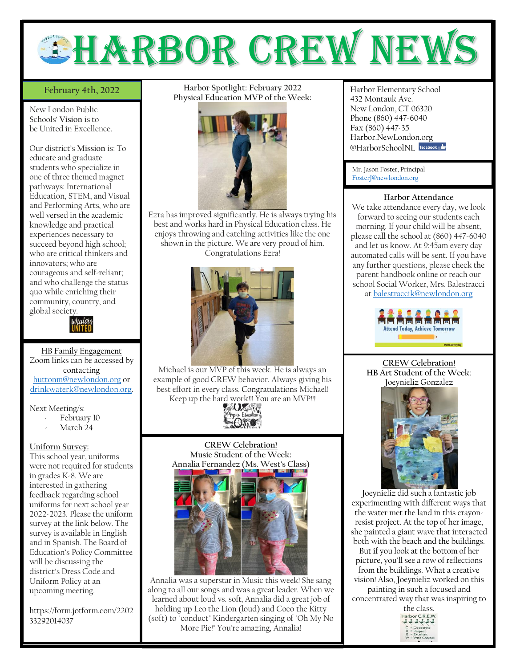

## February 4th, 2022

New London Public Schools' **Vision** is to be United in Excellence.

Our district's **Mission** is: To educate and graduate students who specialize in one of three themed magnet pathways: International Education, STEM, and Visual and Performing Arts, who are well versed in the academic knowledge and practical experiences necessary to succeed beyond high school; who are critical thinkers and innovators; who are courageous and self-reliant; and who challenge the status quo while enriching their community, country, and global society.



HB Family Engagement Zoom links can be accessed by contacting [huttonm@newlondon.org](mailto:huttonm@newlondon.org) or [drinkwaterk@newlondon.org.](mailto:drinkwaterk@newlondon.org)

Next Meeting/s:

- February 10
- March 24

#### **Uniform Survey:**

This school year, uniforms were not required for students in grades K-8. We are interested in gathering feedback regarding school uniforms for next school year 2022-2023. Please the uniform survey at the link below. The survey is available in English and in Spanish. The Board of Education's Policy Committee will be discussing the district's Dress Code and Uniform Policy at an upcoming meeting.

https://form.jotform.com/2202 33292014037

**February 4th, 2022 Harbor Spotlight: February 2022** Harbor Elementary School **Physical Education MVP of the Week:**



Ezra has improved significantly. He is always trying his best and works hard in Physical Education class. He enjoys throwing and catching activities like the one shown in the picture. We are very proud of him. Congratulations Ezra!



Michael is our MVP of this week. He is always an example of good CREW behavior. Always giving his best effort in every class. Congratulations Michael! Keep up the hard work!!! You are an MVP!!!<br>AUXAN



**CREW Celebration! Music Student of the Week: Annalia Fernandez (Ms. West's Class)**



Annalia was a superstar in Music this week! She sang along to all our songs and was a great leader. When we learned about loud vs. soft, Annalia did a great job of holding up Leo the Lion (loud) and Coco the Kitty (soft) to "conduct" Kindergarten singing of "Oh My No More Pie!" You're amazing, Annalia!

432 Montauk Ave. New London, CT 06320 Phone (860) 447-6040 Fax (860) 447-35 Harbor.NewLondon.org @HarborSchoolNI facebook

Mr. Jason Foster, Principal [FosterJ@newlondon.org](mailto:FosterJ@newlondon.org)

### **Harbor Attendance**

We take attendance every day, we look forward to seeing our students each morning. If your child will be absent, please call the school at (860) 447-6040 and let us know. At 9:45am every day automated calls will be sent. If you have any further questions, please check the parent handbook online or reach our school Social Worker, Mrs. Balestracci at [balestraccik@newlondon.org](mailto:balestraccik@newlondon.org)



**CREW Celebration! HB Art Student of the Week**: Joeynieliz Gonzalez



Joeynieliz did such a fantastic job experimenting with different ways that the water met the land in this crayonresist project. At the top of her image, she painted a giant wave that interacted both with the beach and the buildings. But if you look at the bottom of her picture, you'll see a row of reflections from the buildings. What a creative vision! Also, Joeynieliz worked on this

painting in such a focused and concentrated way that was inspiring to